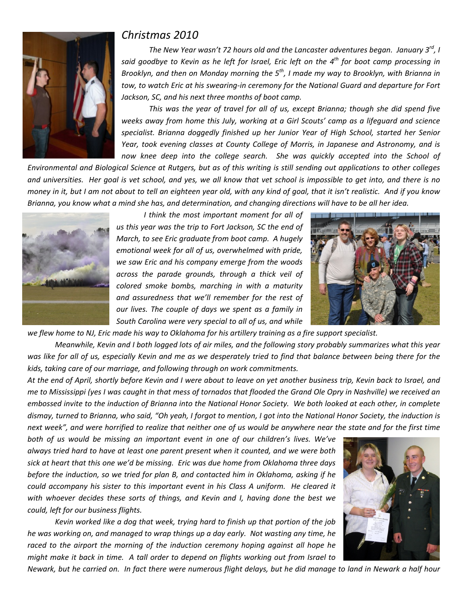

## *Christmas 2010*

*The New Year wasn't 72 hours old and the Lancaster adventures began. January 3rd, I* said aoodbye to Kevin as he left for Israel, Eric left on the  $4^{th}$  for boot camp processing in *Brooklyn, and then on Monday morning the 5th, I made my way to Brooklyn, with Brianna in tow, to watch Eric at his swearing‐in ceremony for the National Guard and departure for Fort Jackson, SC, and his next three months of boot camp.*

*This was the year of travel for all of us, except Brianna; though she did spend five weeks away from home this July, working at a Girl Scouts' camp as a lifeguard and science specialist. Brianna doggedly finished up her Junior Year of High School, started her Senior Year, took evening classes at County College of Morris, in Japanese and Astronomy, and is now knee deep into the college search. She was quickly accepted into the School of*

Environmental and Biological Science at Rutgers, but as of this writing is still sending out applications to other colleges and universities. Her goal is vet school, and yes, we all know that vet school is impossible to get into, and there is no money in it, but I am not about to tell an eighteen year old, with any kind of goal, that it isn't realistic. And if you know Brianna, you know what a mind she has, and determination, and changing directions will have to be all her idea.



*I think the most important moment for all of us this year was the trip to Fort Jackson, SC the end of March, to see Eric graduate from boot camp. A hugely emotional week for all of us, overwhelmed with pride, we saw Eric and his company emerge from the woods across the parade grounds, through a thick veil of colored smoke bombs, marching in with a maturity and assuredness that we'll remember for the rest of our lives. The couple of days we spent as a family in South Carolina were very special to all of us, and while*



we flew home to NJ, Eric made his way to Oklahoma for his artillery training as a fire support specialist.

Meanwhile, Kevin and I both logged lots of air miles, and the following story probably summarizes what this year was like for all of us, especially Kevin and me as we desperately tried to find that balance between being there for the *kids, taking care of our marriage, and following through on work commitments.*

At the end of April, shortly before Kevin and I were about to leave on yet another business trip, Kevin back to Israel, and me to Mississippi (yes I was caught in that mess of tornados that flooded the Grand Ole Opry in Nashville) we received an embossed invite to the induction of Brianna into the National Honor Society. We both looked at each other, in complete dismay, turned to Brianna, who said, "Oh yeah, I forgot to mention, I got into the National Honor Society, the induction is next week", and were horrified to realize that neither one of us would be anywhere near the state and for the first time

*both of us would be missing an important event in one of our children's lives. We've always tried hard to have at least one parent present when it counted, and we were both sick at heart that this one we'd be missing. Eric was due home from Oklahoma three days before the induction, so we tried for plan B, and contacted him in Oklahoma, asking if he could accompany his sister to this important event in his Class A uniform. He cleared it with whoever decides these sorts of things, and Kevin and I, having done the best we could, left for our business flights.*

*Kevin worked like a dog that week, trying hard to finish up that portion of the job he was working on, and managed to wrap things up a day early. Not wasting any time, he raced to the airport the morning of the induction ceremony hoping against all hope he might make it back in time. A tall order to depend on flights working out from Israel to*



Newark, but he carried on. In fact there were numerous flight delays, but he did manage to land in Newark a half hour